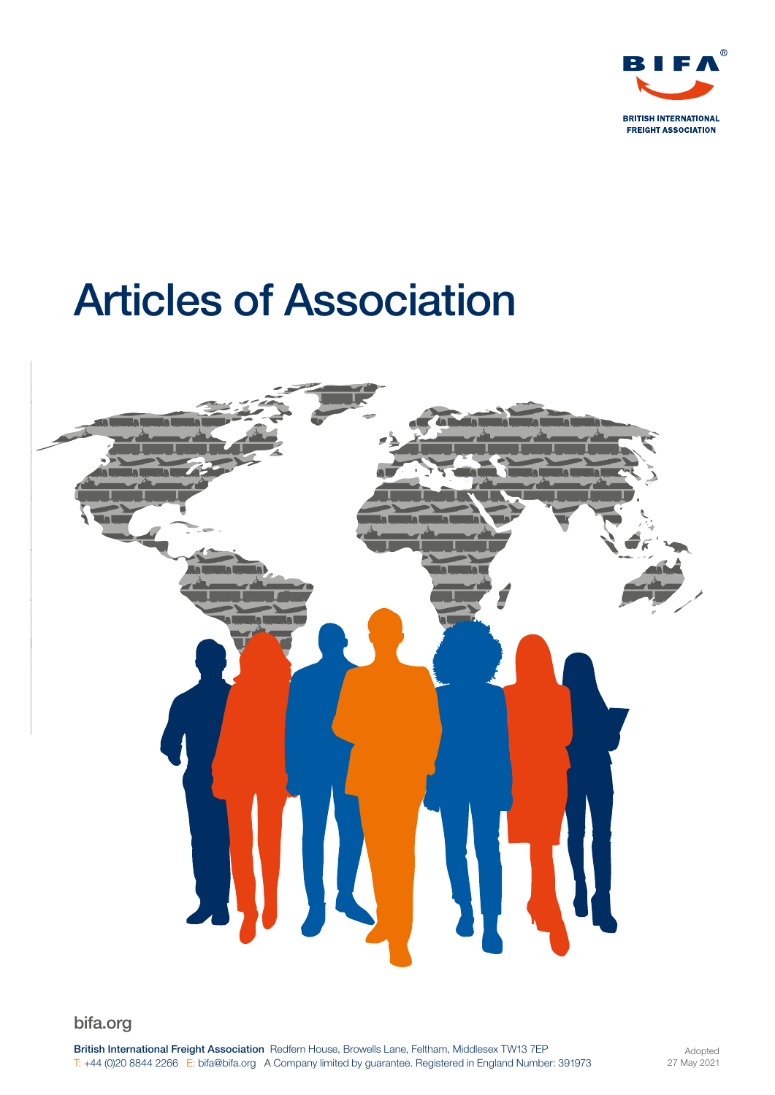

# Articles of Association



bifa.org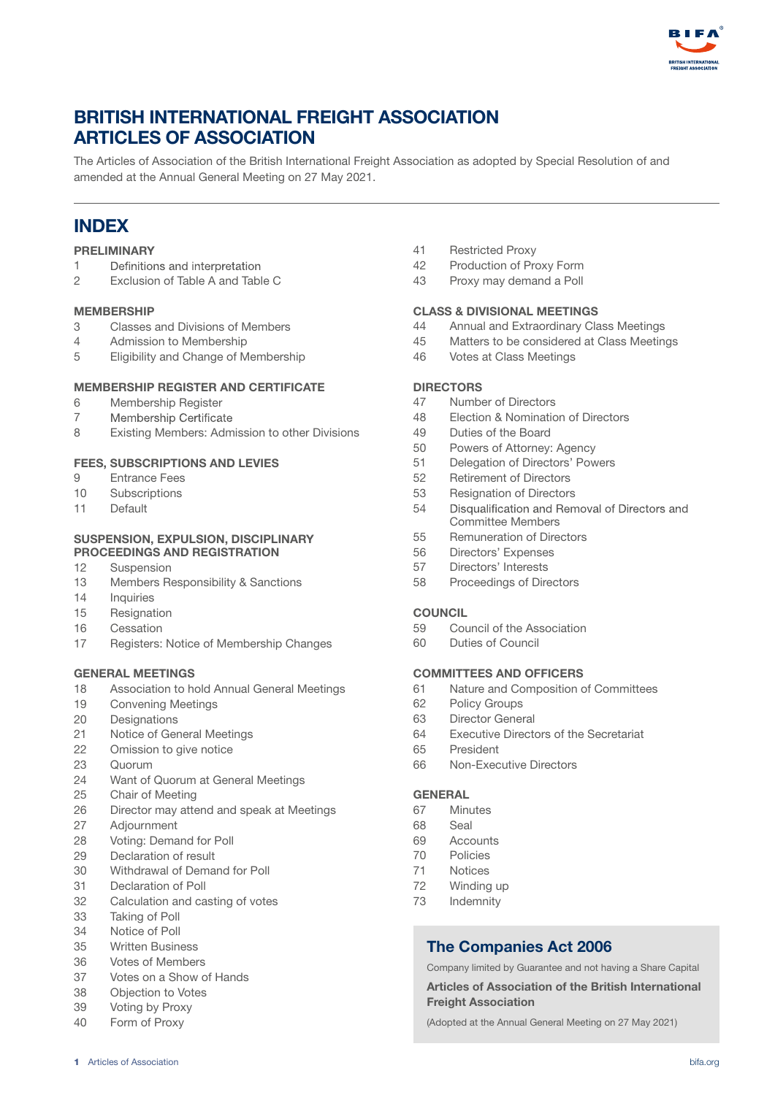

# BRITISH INTERNATIONAL FREIGHT ASSOCIATION ARTICLES OF ASSOCIATION

The Articles of Association of the British International Freight Association as adopted by Special Resolution of and amended at the Annual General Meeting on 27 May 2021.

# INDEX

#### PRELIMINARY

- 1 Definitions and interpretation
- 2 Exclusion of Table A and Table C

#### MEMBERSHIP

- 3 Classes and Divisions of Members
- 4 Admission to Membership
- 5 Eligibility and Change of Membership

#### MEMBERSHIP REGISTER AND CERTIFICATE

- 6 Membership Register
- 7 Membership Certificate
- 8 Existing Members: Admission to other Divisions

#### FEES, SUBSCRIPTIONS AND LEVIES

- 9 Entrance Fees
- 10 Subscriptions
- 11 Default

#### SUSPENSION, EXPULSION, DISCIPLINARY PROCEEDINGS AND REGISTRATION

- 12 Suspension
- 13 Members Responsibility & Sanctions
- 14 Inquiries
- 15 Resignation
- 16 Cessation
- 17 Registers: Notice of Membership Changes

#### GENERAL MEETINGS

- 18 Association to hold Annual General Meetings
- 19 Convening Meetings
- 20 Designations
- 21 Notice of General Meetings
- 22 Omission to give notice
- 23 Quorum
- 24 Want of Quorum at General Meetings
- 25 Chair of Meeting
- 26 Director may attend and speak at Meetings
- 27 Adjournment
- 28 Voting: Demand for Poll
- 29 Declaration of result
- 30 Withdrawal of Demand for Poll
- 31 Declaration of Poll
- 32 Calculation and casting of votes
- 33 Taking of Poll
- 34 Notice of Poll
- 35 Written Business
- 36 Votes of Members
- 37 Votes on a Show of Hands
- 38 Objection to Votes
- 39 Voting by Proxy
- 40 Form of Proxy
- 41 Restricted Proxy
- 42 Production of Proxy Form
- 43 Proxy may demand a Poll

#### CLASS & DIVISIONAL MEETINGS

- 44 Annual and Extraordinary Class Meetings
- 45 Matters to be considered at Class Meetings
- 46 Votes at Class Meetings

#### **DIRECTORS**

- 47 Number of Directors
- 48 Election & Nomination of Directors
- 49 Duties of the Board
- 50 Powers of Attorney: Agency
- 51 Delegation of Directors' Powers
- 52 Retirement of Directors
- 53 Resignation of Directors
- 54 Disqualification and Removal of Directors and Committee Members
- 55 Remuneration of Directors
- 56 Directors' Expenses
- 57 Directors' Interests
- 58 Proceedings of Directors

#### **COUNCIL**

- 59 Council of the Association
- 60 Duties of Council

#### COMMITTEES AND OFFICERS

- 61 Nature and Composition of Committees
- 62 Policy Groups
- 63 Director General
- 64 Executive Directors of the Secretariat
- 65 President
- 66 Non-Executive Directors

#### **GENERAL**

- 67 Minutes
- 68 Seal
- 69 Accounts
- 70 Policies
- 71 Notices
- 72 Winding up
- 73 Indemnity

#### The Companies Act 2006

Company limited by Guarantee and not having a Share Capital

Articles of Association of the British International Freight Association

(Adopted at the Annual General Meeting on 27 May 2021)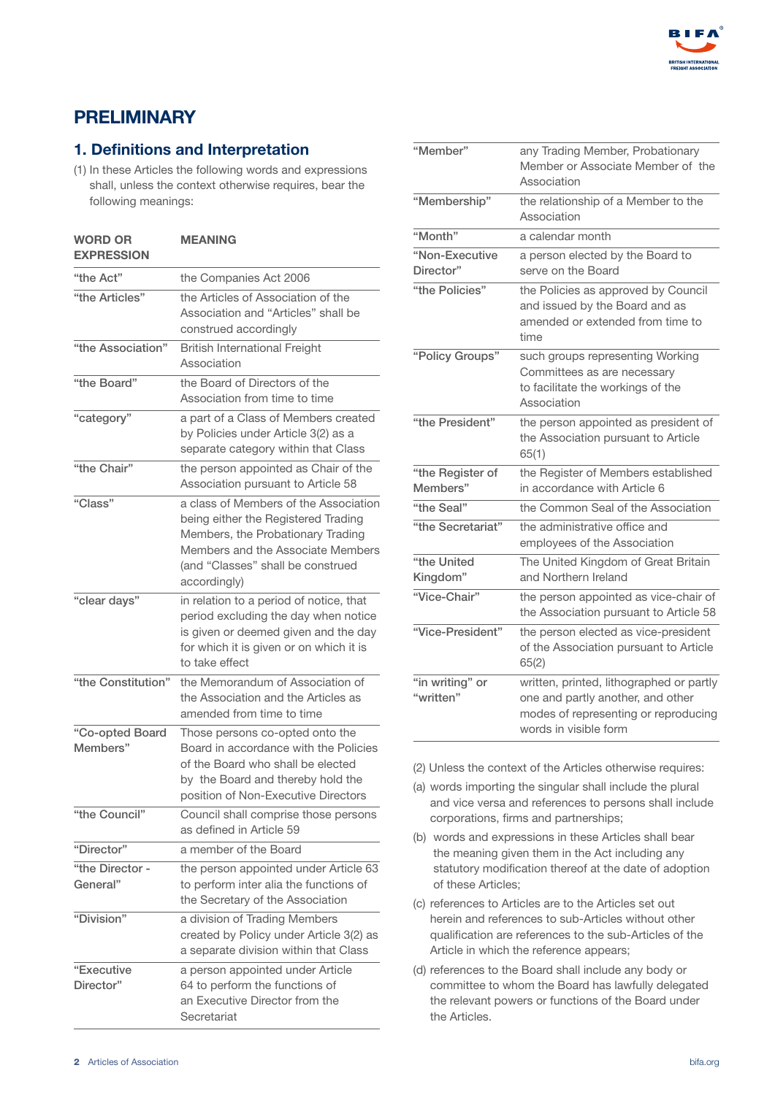

# PRELIMINARY

## 1. Definitions and Interpretation

(1) In these Articles the following words and expressions shall, unless the context otherwise requires, bear the following meanings:

| <b>WORD OR</b><br><b>EXPRESSION</b> | <b>MEANING</b>                                                                                                                                                                                              |
|-------------------------------------|-------------------------------------------------------------------------------------------------------------------------------------------------------------------------------------------------------------|
| "the Act"                           | the Companies Act 2006                                                                                                                                                                                      |
| "the Articles"                      | the Articles of Association of the<br>Association and "Articles" shall be<br>construed accordingly                                                                                                          |
| "the Association"                   | <b>British International Freight</b><br>Association                                                                                                                                                         |
| "the Board"                         | the Board of Directors of the<br>Association from time to time                                                                                                                                              |
| "category"                          | a part of a Class of Members created<br>by Policies under Article 3(2) as a<br>separate category within that Class                                                                                          |
| "the Chair"                         | the person appointed as Chair of the<br>Association pursuant to Article 58                                                                                                                                  |
| "Class"                             | a class of Members of the Association<br>being either the Registered Trading<br>Members, the Probationary Trading<br>Members and the Associate Members<br>(and "Classes" shall be construed<br>accordingly) |
| "clear days"                        | in relation to a period of notice, that<br>period excluding the day when notice<br>is given or deemed given and the day<br>for which it is given or on which it is<br>to take effect                        |
| "the Constitution"                  | the Memorandum of Association of<br>the Association and the Articles as<br>amended from time to time                                                                                                        |
| "Co-opted Board<br>Members"         | Those persons co-opted onto the<br>Board in accordance with the Policies<br>of the Board who shall be elected<br>by the Board and thereby hold the<br>position of Non-Executive Directors                   |
| "the Council"                       | Council shall comprise those persons<br>as defined in Article 59                                                                                                                                            |
| "Director"                          | a member of the Board                                                                                                                                                                                       |
| "the Director -<br>General"         | the person appointed under Article 63<br>to perform inter alia the functions of                                                                                                                             |
|                                     | the Secretary of the Association                                                                                                                                                                            |
| "Division"                          | a division of Trading Members<br>created by Policy under Article 3(2) as<br>a separate division within that Class                                                                                           |
| "Executive<br>Director"             | a person appointed under Article<br>64 to perform the functions of<br>an Executive Director from the<br>Secretariat                                                                                         |

| "Member"                     | any Trading Member, Probationary<br>Member or Associate Member of the<br>Association                                                           |
|------------------------------|------------------------------------------------------------------------------------------------------------------------------------------------|
| "Membership"                 | the relationship of a Member to the<br>Association                                                                                             |
| "Month"                      | a calendar month                                                                                                                               |
| "Non-Executive<br>Director"  | a person elected by the Board to<br>serve on the Board                                                                                         |
| "the Policies"               | the Policies as approved by Council<br>and issued by the Board and as<br>amended or extended from time to<br>time                              |
| "Policy Groups"              | such groups representing Working<br>Committees as are necessary<br>to facilitate the workings of the<br>Association                            |
| "the President"              | the person appointed as president of<br>the Association pursuant to Article<br>65(1)                                                           |
| "the Register of<br>Members" | the Register of Members established<br>in accordance with Article 6                                                                            |
| "the Seal"                   | the Common Seal of the Association                                                                                                             |
| "the Secretariat"            | the administrative office and<br>employees of the Association                                                                                  |
| "the United<br>Kingdom"      | The United Kingdom of Great Britain<br>and Northern Ireland                                                                                    |
| "Vice-Chair"                 | the person appointed as vice-chair of<br>the Association pursuant to Article 58                                                                |
| "Vice-President"             | the person elected as vice-president<br>of the Association pursuant to Article<br>65(2)                                                        |
| "in writing" or<br>"written" | written, printed, lithographed or partly<br>one and partly another, and other<br>modes of representing or reproducing<br>words in visible form |

(2) Unless the context of the Articles otherwise requires:

- (a) words importing the singular shall include the plural and vice versa and references to persons shall include corporations, firms and partnerships;
- (b) words and expressions in these Articles shall bear the meaning given them in the Act including any statutory modification thereof at the date of adoption of these Articles;
- (c) references to Articles are to the Articles set out herein and references to sub-Articles without other qualification are references to the sub-Articles of the Article in which the reference appears;
- (d) references to the Board shall include any body or committee to whom the Board has lawfully delegated the relevant powers or functions of the Board under the Articles.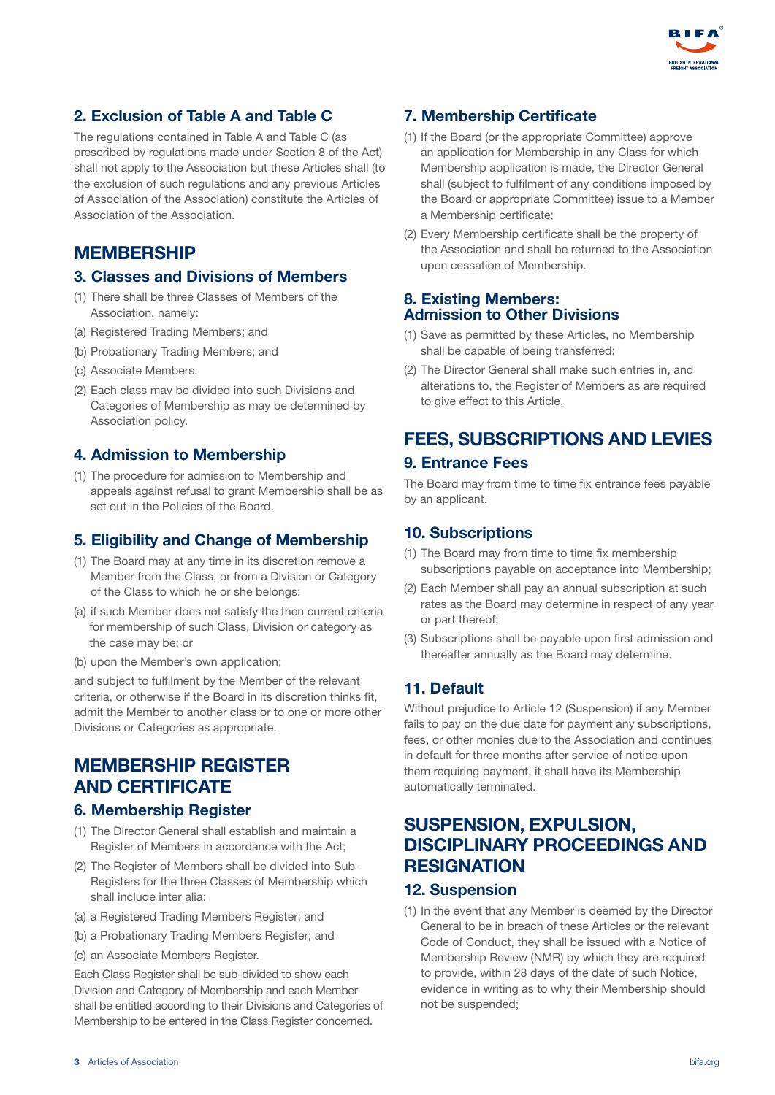

## 2. Exclusion of Table A and Table C

The regulations contained in Table A and Table C (as prescribed by regulations made under Section 8 of the Act) shall not apply to the Association but these Articles shall (to the exclusion of such regulations and any previous Articles of Association of the Association) constitute the Articles of Association of the Association.

## **MEMBERSHIP**

#### 3. Classes and Divisions of Members

- (1) There shall be three Classes of Members of the Association, namely:
- (a) Registered Trading Members; and
- (b) Probationary Trading Members; and
- (c) Associate Members.
- (2) Each class may be divided into such Divisions and Categories of Membership as may be determined by Association policy.

#### 4. Admission to Membership

(1) The procedure for admission to Membership and appeals against refusal to grant Membership shall be as set out in the Policies of the Board.

#### 5. Eligibility and Change of Membership

- (1) The Board may at any time in its discretion remove a Member from the Class, or from a Division or Category of the Class to which he or she belongs:
- (a) if such Member does not satisfy the then current criteria for membership of such Class, Division or category as the case may be; or
- (b) upon the Member's own application;

and subject to fulfilment by the Member of the relevant criteria, or otherwise if the Board in its discretion thinks fit, admit the Member to another class or to one or more other Divisions or Categories as appropriate.

## MEMBERSHIP REGISTER AND CERTIFICATE

#### 6. Membership Register

- (1) The Director General shall establish and maintain a Register of Members in accordance with the Act;
- (2) The Register of Members shall be divided into Sub-Registers for the three Classes of Membership which shall include inter alia:
- (a) a Registered Trading Members Register; and
- (b) a Probationary Trading Members Register; and
- (c) an Associate Members Register.

Each Class Register shall be sub-divided to show each Division and Category of Membership and each Member shall be entitled according to their Divisions and Categories of Membership to be entered in the Class Register concerned.

## 7. Membership Certificate

- (1) If the Board (or the appropriate Committee) approve an application for Membership in any Class for which Membership application is made, the Director General shall (subject to fulfilment of any conditions imposed by the Board or appropriate Committee) issue to a Member a Membership certificate;
- (2) Every Membership certificate shall be the property of the Association and shall be returned to the Association upon cessation of Membership.

#### 8. Existing Members: Admission to Other Divisions

- (1) Save as permitted by these Articles, no Membership shall be capable of being transferred;
- (2) The Director General shall make such entries in, and alterations to, the Register of Members as are required to give effect to this Article.

# FEES, SUBSCRIPTIONS AND LEVIES

#### 9. Entrance Fees

The Board may from time to time fix entrance fees payable by an applicant.

#### 10. Subscriptions

- (1) The Board may from time to time fix membership subscriptions payable on acceptance into Membership;
- (2) Each Member shall pay an annual subscription at such rates as the Board may determine in respect of any year or part thereof;
- (3) Subscriptions shall be payable upon first admission and thereafter annually as the Board may determine.

#### 11. Default

Without prejudice to Article 12 (Suspension) if any Member fails to pay on the due date for payment any subscriptions, fees, or other monies due to the Association and continues in default for three months after service of notice upon them requiring payment, it shall have its Membership automatically terminated.

# SUSPENSION, EXPULSION, DISCIPLINARY PROCEEDINGS AND **RESIGNATION**

#### 12. Suspension

(1) In the event that any Member is deemed by the Director General to be in breach of these Articles or the relevant Code of Conduct, they shall be issued with a Notice of Membership Review (NMR) by which they are required to provide, within 28 days of the date of such Notice, evidence in writing as to why their Membership should not be suspended;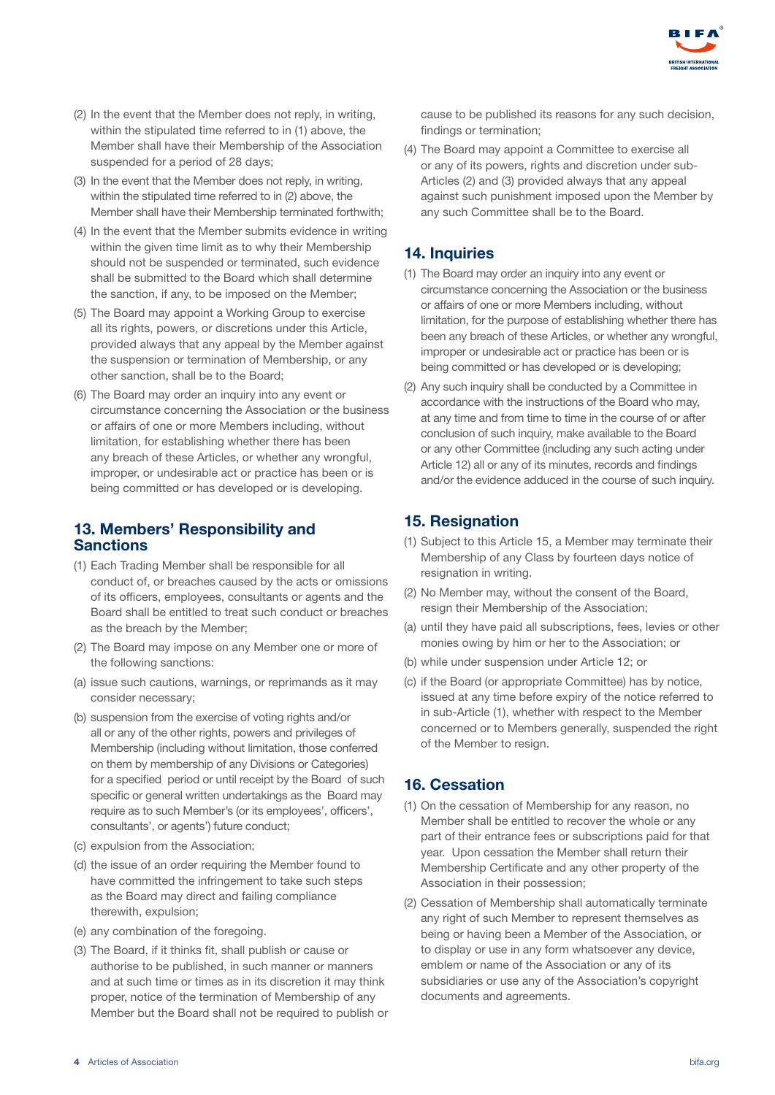

- (2) In the event that the Member does not reply, in writing, within the stipulated time referred to in (1) above, the Member shall have their Membership of the Association suspended for a period of 28 days;
- (3) In the event that the Member does not reply, in writing, within the stipulated time referred to in (2) above, the Member shall have their Membership terminated forthwith;
- (4) In the event that the Member submits evidence in writing within the given time limit as to why their Membership should not be suspended or terminated, such evidence shall be submitted to the Board which shall determine the sanction, if any, to be imposed on the Member;
- (5) The Board may appoint a Working Group to exercise all its rights, powers, or discretions under this Article, provided always that any appeal by the Member against the suspension or termination of Membership, or any other sanction, shall be to the Board;
- (6) The Board may order an inquiry into any event or circumstance concerning the Association or the business or affairs of one or more Members including, without limitation, for establishing whether there has been any breach of these Articles, or whether any wrongful, improper, or undesirable act or practice has been or is being committed or has developed or is developing.

#### 13. Members' Responsibility and Sanctions

- (1) Each Trading Member shall be responsible for all conduct of, or breaches caused by the acts or omissions of its officers, employees, consultants or agents and the Board shall be entitled to treat such conduct or breaches as the breach by the Member;
- (2) The Board may impose on any Member one or more of the following sanctions:
- (a) issue such cautions, warnings, or reprimands as it may consider necessary;
- (b) suspension from the exercise of voting rights and/or all or any of the other rights, powers and privileges of Membership (including without limitation, those conferred on them by membership of any Divisions or Categories) for a specified period or until receipt by the Board of such specific or general written undertakings as the Board may require as to such Member's (or its employees', officers', consultants', or agents') future conduct;
- (c) expulsion from the Association;
- (d) the issue of an order requiring the Member found to have committed the infringement to take such steps as the Board may direct and failing compliance therewith, expulsion;
- (e) any combination of the foregoing.
- (3) The Board, if it thinks fit, shall publish or cause or authorise to be published, in such manner or manners and at such time or times as in its discretion it may think proper, notice of the termination of Membership of any Member but the Board shall not be required to publish or

cause to be published its reasons for any such decision, findings or termination;

(4) The Board may appoint a Committee to exercise all or any of its powers, rights and discretion under sub-Articles (2) and (3) provided always that any appeal against such punishment imposed upon the Member by any such Committee shall be to the Board.

#### 14. Inquiries

- (1) The Board may order an inquiry into any event or circumstance concerning the Association or the business or affairs of one or more Members including, without limitation, for the purpose of establishing whether there has been any breach of these Articles, or whether any wrongful, improper or undesirable act or practice has been or is being committed or has developed or is developing;
- (2) Any such inquiry shall be conducted by a Committee in accordance with the instructions of the Board who may, at any time and from time to time in the course of or after conclusion of such inquiry, make available to the Board or any other Committee (including any such acting under Article 12) all or any of its minutes, records and findings and/or the evidence adduced in the course of such inquiry.

## 15. Resignation

- (1) Subject to this Article 15, a Member may terminate their Membership of any Class by fourteen days notice of resignation in writing.
- (2) No Member may, without the consent of the Board, resign their Membership of the Association;
- (a) until they have paid all subscriptions, fees, levies or other monies owing by him or her to the Association; or
- (b) while under suspension under Article 12; or
- (c) if the Board (or appropriate Committee) has by notice, issued at any time before expiry of the notice referred to in sub-Article (1), whether with respect to the Member concerned or to Members generally, suspended the right of the Member to resign.

#### 16. Cessation

- (1) On the cessation of Membership for any reason, no Member shall be entitled to recover the whole or any part of their entrance fees or subscriptions paid for that year. Upon cessation the Member shall return their Membership Certificate and any other property of the Association in their possession;
- (2) Cessation of Membership shall automatically terminate any right of such Member to represent themselves as being or having been a Member of the Association, or to display or use in any form whatsoever any device, emblem or name of the Association or any of its subsidiaries or use any of the Association's copyright documents and agreements.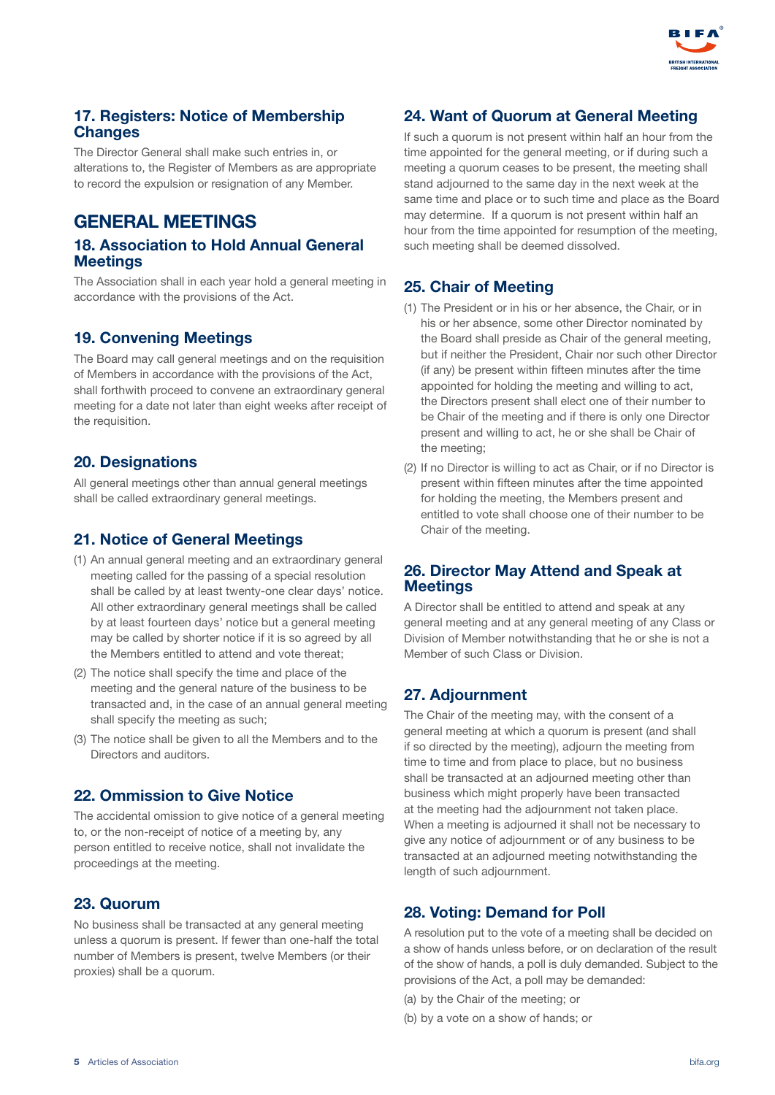

#### 17. Registers: Notice of Membership **Changes**

The Director General shall make such entries in, or alterations to, the Register of Members as are appropriate to record the expulsion or resignation of any Member.

# GENERAL MEETINGS

#### 18. Association to Hold Annual General **Meetings**

The Association shall in each year hold a general meeting in accordance with the provisions of the Act.

#### 19. Convening Meetings

The Board may call general meetings and on the requisition of Members in accordance with the provisions of the Act, shall forthwith proceed to convene an extraordinary general meeting for a date not later than eight weeks after receipt of the requisition.

#### 20. Designations

All general meetings other than annual general meetings shall be called extraordinary general meetings.

#### 21. Notice of General Meetings

- (1) An annual general meeting and an extraordinary general meeting called for the passing of a special resolution shall be called by at least twenty-one clear days' notice. All other extraordinary general meetings shall be called by at least fourteen days' notice but a general meeting may be called by shorter notice if it is so agreed by all the Members entitled to attend and vote thereat;
- (2) The notice shall specify the time and place of the meeting and the general nature of the business to be transacted and, in the case of an annual general meeting shall specify the meeting as such;
- (3) The notice shall be given to all the Members and to the Directors and auditors.

#### 22. Ommission to Give Notice

The accidental omission to give notice of a general meeting to, or the non-receipt of notice of a meeting by, any person entitled to receive notice, shall not invalidate the proceedings at the meeting.

#### 23. Quorum

No business shall be transacted at any general meeting unless a quorum is present. If fewer than one-half the total number of Members is present, twelve Members (or their proxies) shall be a quorum.

#### 24. Want of Quorum at General Meeting

If such a quorum is not present within half an hour from the time appointed for the general meeting, or if during such a meeting a quorum ceases to be present, the meeting shall stand adjourned to the same day in the next week at the same time and place or to such time and place as the Board may determine. If a quorum is not present within half an hour from the time appointed for resumption of the meeting, such meeting shall be deemed dissolved.

#### 25. Chair of Meeting

- (1) The President or in his or her absence, the Chair, or in his or her absence, some other Director nominated by the Board shall preside as Chair of the general meeting, but if neither the President, Chair nor such other Director (if any) be present within fifteen minutes after the time appointed for holding the meeting and willing to act, the Directors present shall elect one of their number to be Chair of the meeting and if there is only one Director present and willing to act, he or she shall be Chair of the meeting;
- (2) If no Director is willing to act as Chair, or if no Director is present within fifteen minutes after the time appointed for holding the meeting, the Members present and entitled to vote shall choose one of their number to be Chair of the meeting.

#### 26. Director May Attend and Speak at **Meetings**

A Director shall be entitled to attend and speak at any general meeting and at any general meeting of any Class or Division of Member notwithstanding that he or she is not a Member of such Class or Division.

#### 27. Adjournment

The Chair of the meeting may, with the consent of a general meeting at which a quorum is present (and shall if so directed by the meeting), adjourn the meeting from time to time and from place to place, but no business shall be transacted at an adjourned meeting other than business which might properly have been transacted at the meeting had the adjournment not taken place. When a meeting is adjourned it shall not be necessary to give any notice of adjournment or of any business to be transacted at an adjourned meeting notwithstanding the length of such adjournment.

#### 28. Voting: Demand for Poll

A resolution put to the vote of a meeting shall be decided on a show of hands unless before, or on declaration of the result of the show of hands, a poll is duly demanded. Subject to the provisions of the Act, a poll may be demanded:

- (a) by the Chair of the meeting; or
- (b) by a vote on a show of hands; or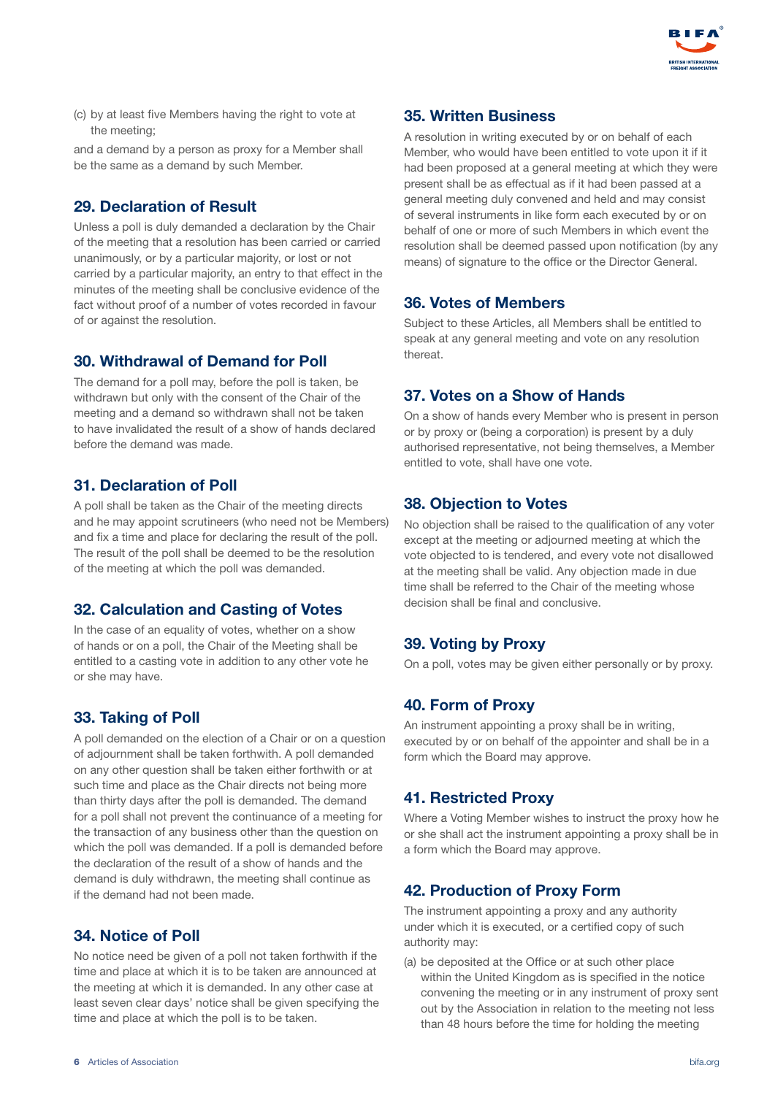

(c) by at least five Members having the right to vote at the meeting;

and a demand by a person as proxy for a Member shall be the same as a demand by such Member.

#### 29. Declaration of Result

Unless a poll is duly demanded a declaration by the Chair of the meeting that a resolution has been carried or carried unanimously, or by a particular majority, or lost or not carried by a particular majority, an entry to that effect in the minutes of the meeting shall be conclusive evidence of the fact without proof of a number of votes recorded in favour of or against the resolution.

#### 30. Withdrawal of Demand for Poll

The demand for a poll may, before the poll is taken, be withdrawn but only with the consent of the Chair of the meeting and a demand so withdrawn shall not be taken to have invalidated the result of a show of hands declared before the demand was made.

#### 31. Declaration of Poll

A poll shall be taken as the Chair of the meeting directs and he may appoint scrutineers (who need not be Members) and fix a time and place for declaring the result of the poll. The result of the poll shall be deemed to be the resolution of the meeting at which the poll was demanded.

#### 32. Calculation and Casting of Votes

In the case of an equality of votes, whether on a show of hands or on a poll, the Chair of the Meeting shall be entitled to a casting vote in addition to any other vote he or she may have.

#### 33. Taking of Poll

A poll demanded on the election of a Chair or on a question of adjournment shall be taken forthwith. A poll demanded on any other question shall be taken either forthwith or at such time and place as the Chair directs not being more than thirty days after the poll is demanded. The demand for a poll shall not prevent the continuance of a meeting for the transaction of any business other than the question on which the poll was demanded. If a poll is demanded before the declaration of the result of a show of hands and the demand is duly withdrawn, the meeting shall continue as if the demand had not been made.

#### 34. Notice of Poll

No notice need be given of a poll not taken forthwith if the time and place at which it is to be taken are announced at the meeting at which it is demanded. In any other case at least seven clear days' notice shall be given specifying the time and place at which the poll is to be taken.

#### 35. Written Business

A resolution in writing executed by or on behalf of each Member, who would have been entitled to vote upon it if it had been proposed at a general meeting at which they were present shall be as effectual as if it had been passed at a general meeting duly convened and held and may consist of several instruments in like form each executed by or on behalf of one or more of such Members in which event the resolution shall be deemed passed upon notification (by any means) of signature to the office or the Director General.

#### 36. Votes of Members

Subject to these Articles, all Members shall be entitled to speak at any general meeting and vote on any resolution thereat.

#### 37. Votes on a Show of Hands

On a show of hands every Member who is present in person or by proxy or (being a corporation) is present by a duly authorised representative, not being themselves, a Member entitled to vote, shall have one vote.

#### 38. Objection to Votes

No objection shall be raised to the qualification of any voter except at the meeting or adjourned meeting at which the vote objected to is tendered, and every vote not disallowed at the meeting shall be valid. Any objection made in due time shall be referred to the Chair of the meeting whose decision shall be final and conclusive.

#### 39. Voting by Proxy

On a poll, votes may be given either personally or by proxy.

## 40. Form of Proxy

An instrument appointing a proxy shall be in writing, executed by or on behalf of the appointer and shall be in a form which the Board may approve.

#### 41. Restricted Proxy

Where a Voting Member wishes to instruct the proxy how he or she shall act the instrument appointing a proxy shall be in a form which the Board may approve.

#### 42. Production of Proxy Form

The instrument appointing a proxy and any authority under which it is executed, or a certified copy of such authority may:

(a) be deposited at the Office or at such other place within the United Kingdom as is specified in the notice convening the meeting or in any instrument of proxy sent out by the Association in relation to the meeting not less than 48 hours before the time for holding the meeting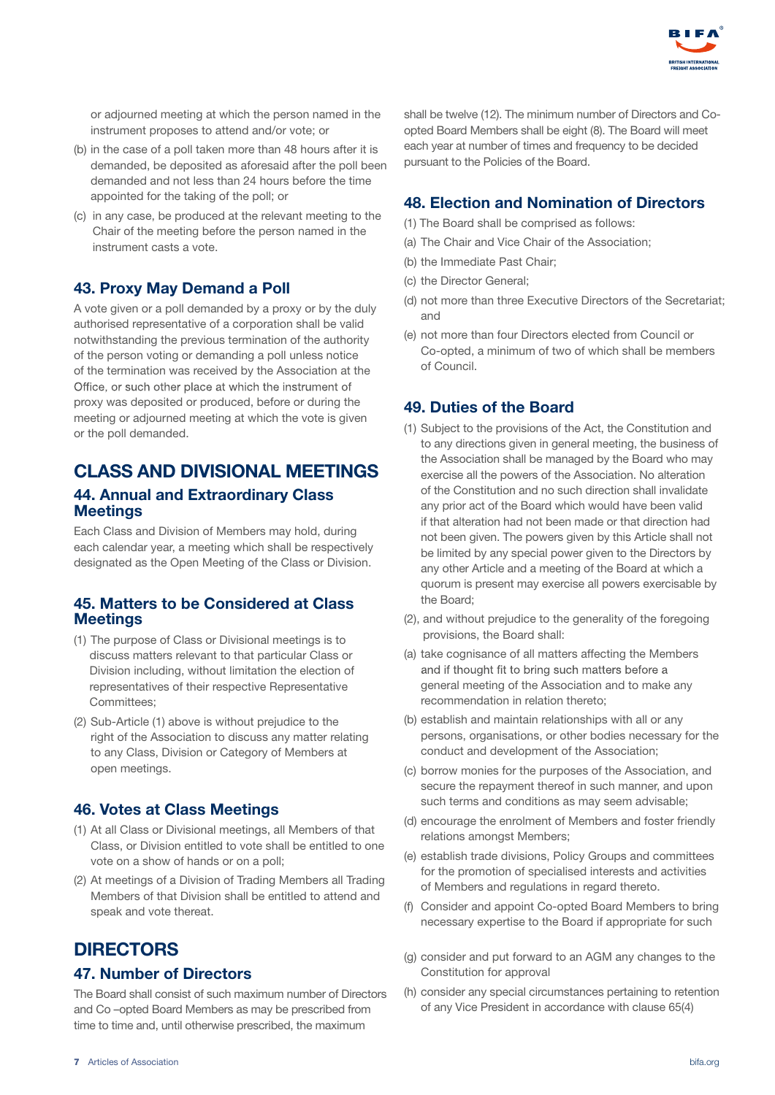

or adjourned meeting at which the person named in the instrument proposes to attend and/or vote; or

- (b) in the case of a poll taken more than 48 hours after it is demanded, be deposited as aforesaid after the poll been demanded and not less than 24 hours before the time appointed for the taking of the poll; or
- (c) in any case, be produced at the relevant meeting to the Chair of the meeting before the person named in the instrument casts a vote.

#### 43. Proxy May Demand a Poll

A vote given or a poll demanded by a proxy or by the duly authorised representative of a corporation shall be valid notwithstanding the previous termination of the authority of the person voting or demanding a poll unless notice of the termination was received by the Association at the Office, or such other place at which the instrument of proxy was deposited or produced, before or during the meeting or adjourned meeting at which the vote is given or the poll demanded.

# CLASS AND DIVISIONAL MEETINGS

#### 44. Annual and Extraordinary Class Meetings

Each Class and Division of Members may hold, during each calendar year, a meeting which shall be respectively designated as the Open Meeting of the Class or Division.

#### 45. Matters to be Considered at Class **Meetings**

- (1) The purpose of Class or Divisional meetings is to discuss matters relevant to that particular Class or Division including, without limitation the election of representatives of their respective Representative Committees;
- (2) Sub-Article (1) above is without prejudice to the right of the Association to discuss any matter relating to any Class, Division or Category of Members at open meetings.

#### 46. Votes at Class Meetings

- (1) At all Class or Divisional meetings, all Members of that Class, or Division entitled to vote shall be entitled to one vote on a show of hands or on a poll;
- (2) At meetings of a Division of Trading Members all Trading Members of that Division shall be entitled to attend and speak and vote thereat.

## **DIRECTORS**

#### 47. Number of Directors

The Board shall consist of such maximum number of Directors and Co –opted Board Members as may be prescribed from time to time and, until otherwise prescribed, the maximum

shall be twelve (12). The minimum number of Directors and Coopted Board Members shall be eight (8). The Board will meet each year at number of times and frequency to be decided pursuant to the Policies of the Board.

#### 48. Election and Nomination of Directors

- (1) The Board shall be comprised as follows:
- (a) The Chair and Vice Chair of the Association;
- (b) the Immediate Past Chair;
- (c) the Director General;
- (d) not more than three Executive Directors of the Secretariat; and
- (e) not more than four Directors elected from Council or Co-opted, a minimum of two of which shall be members of Council.

#### 49. Duties of the Board

- (1) Subject to the provisions of the Act, the Constitution and to any directions given in general meeting, the business of the Association shall be managed by the Board who may exercise all the powers of the Association. No alteration of the Constitution and no such direction shall invalidate any prior act of the Board which would have been valid if that alteration had not been made or that direction had not been given. The powers given by this Article shall not be limited by any special power given to the Directors by any other Article and a meeting of the Board at which a quorum is present may exercise all powers exercisable by the Board;
- (2), and without prejudice to the generality of the foregoing provisions, the Board shall:
- (a) take cognisance of all matters affecting the Members and if thought fit to bring such matters before a general meeting of the Association and to make any recommendation in relation thereto;
- (b) establish and maintain relationships with all or any persons, organisations, or other bodies necessary for the conduct and development of the Association;
- (c) borrow monies for the purposes of the Association, and secure the repayment thereof in such manner, and upon such terms and conditions as may seem advisable;
- (d) encourage the enrolment of Members and foster friendly relations amongst Members;
- (e) establish trade divisions, Policy Groups and committees for the promotion of specialised interests and activities of Members and regulations in regard thereto.
- (f) Consider and appoint Co-opted Board Members to bring necessary expertise to the Board if appropriate for such
- (g) consider and put forward to an AGM any changes to the Constitution for approval
- (h) consider any special circumstances pertaining to retention of any Vice President in accordance with clause 65(4)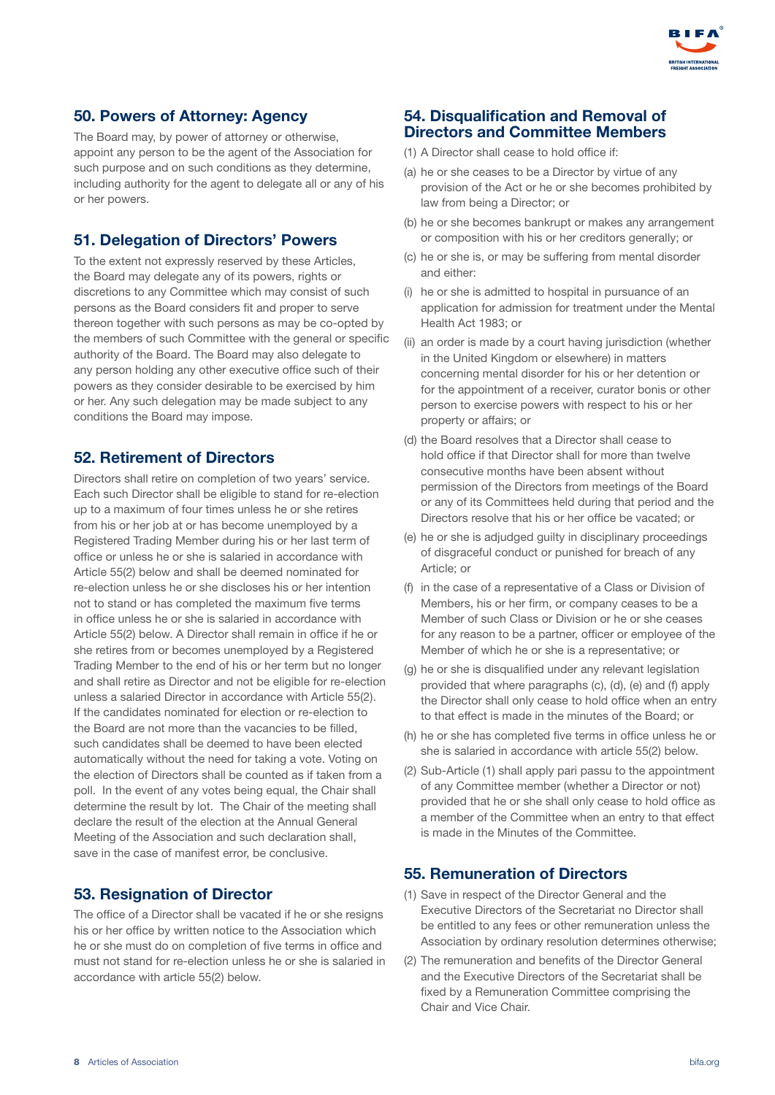

#### 50. Powers of Attorney: Agency

The Board may, by power of attorney or otherwise, appoint any person to be the agent of the Association for such purpose and on such conditions as they determine, including authority for the agent to delegate all or any of his or her powers.

#### 51. Delegation of Directors' Powers

To the extent not expressly reserved by these Articles, the Board may delegate any of its powers, rights or discretions to any Committee which may consist of such persons as the Board considers fit and proper to serve thereon together with such persons as may be co-opted by the members of such Committee with the general or specific authority of the Board. The Board may also delegate to any person holding any other executive office such of their powers as they consider desirable to be exercised by him or her. Any such delegation may be made subject to any conditions the Board may impose.

#### 52. Retirement of Directors

Directors shall retire on completion of two years' service. Each such Director shall be eligible to stand for re-election up to a maximum of four times unless he or she retires from his or her job at or has become unemployed by a Registered Trading Member during his or her last term of office or unless he or she is salaried in accordance with Article 55(2) below and shall be deemed nominated for re-election unless he or she discloses his or her intention not to stand or has completed the maximum five terms in office unless he or she is salaried in accordance with Article 55(2) below. A Director shall remain in office if he or she retires from or becomes unemployed by a Registered Trading Member to the end of his or her term but no longer and shall retire as Director and not be eligible for re-election unless a salaried Director in accordance with Article 55(2). If the candidates nominated for election or re-election to the Board are not more than the vacancies to be filled, such candidates shall be deemed to have been elected automatically without the need for taking a vote. Voting on the election of Directors shall be counted as if taken from a poll. In the event of any votes being equal, the Chair shall determine the result by lot. The Chair of the meeting shall declare the result of the election at the Annual General Meeting of the Association and such declaration shall, save in the case of manifest error, be conclusive.

#### 53. Resignation of Director

The office of a Director shall be vacated if he or she resigns his or her office by written notice to the Association which he or she must do on completion of five terms in office and must not stand for re-election unless he or she is salaried in accordance with article 55(2) below.

#### 54. Disqualification and Removal of Directors and Committee Members

- (1) A Director shall cease to hold office if:
- (a) he or she ceases to be a Director by virtue of any provision of the Act or he or she becomes prohibited by law from being a Director; or
- (b) he or she becomes bankrupt or makes any arrangement or composition with his or her creditors generally; or
- (c) he or she is, or may be suffering from mental disorder and either:
- (i) he or she is admitted to hospital in pursuance of an application for admission for treatment under the Mental Health Act 1983; or
- (ii) an order is made by a court having jurisdiction (whether in the United Kingdom or elsewhere) in matters concerning mental disorder for his or her detention or for the appointment of a receiver, curator bonis or other person to exercise powers with respect to his or her property or affairs; or
- (d) the Board resolves that a Director shall cease to hold office if that Director shall for more than twelve consecutive months have been absent without permission of the Directors from meetings of the Board or any of its Committees held during that period and the Directors resolve that his or her office be vacated; or
- (e) he or she is adjudged guilty in disciplinary proceedings of disgraceful conduct or punished for breach of any Article; or
- (f) in the case of a representative of a Class or Division of Members, his or her firm, or company ceases to be a Member of such Class or Division or he or she ceases for any reason to be a partner, officer or employee of the Member of which he or she is a representative; or
- (g) he or she is disqualified under any relevant legislation provided that where paragraphs (c), (d), (e) and (f) apply the Director shall only cease to hold office when an entry to that effect is made in the minutes of the Board; or
- (h) he or she has completed five terms in office unless he or she is salaried in accordance with article 55(2) below.
- (2) Sub-Article (1) shall apply pari passu to the appointment of any Committee member (whether a Director or not) provided that he or she shall only cease to hold office as a member of the Committee when an entry to that effect is made in the Minutes of the Committee.

#### 55. Remuneration of Directors

- (1) Save in respect of the Director General and the Executive Directors of the Secretariat no Director shall be entitled to any fees or other remuneration unless the Association by ordinary resolution determines otherwise;
- (2) The remuneration and benefits of the Director General and the Executive Directors of the Secretariat shall be fixed by a Remuneration Committee comprising the Chair and Vice Chair.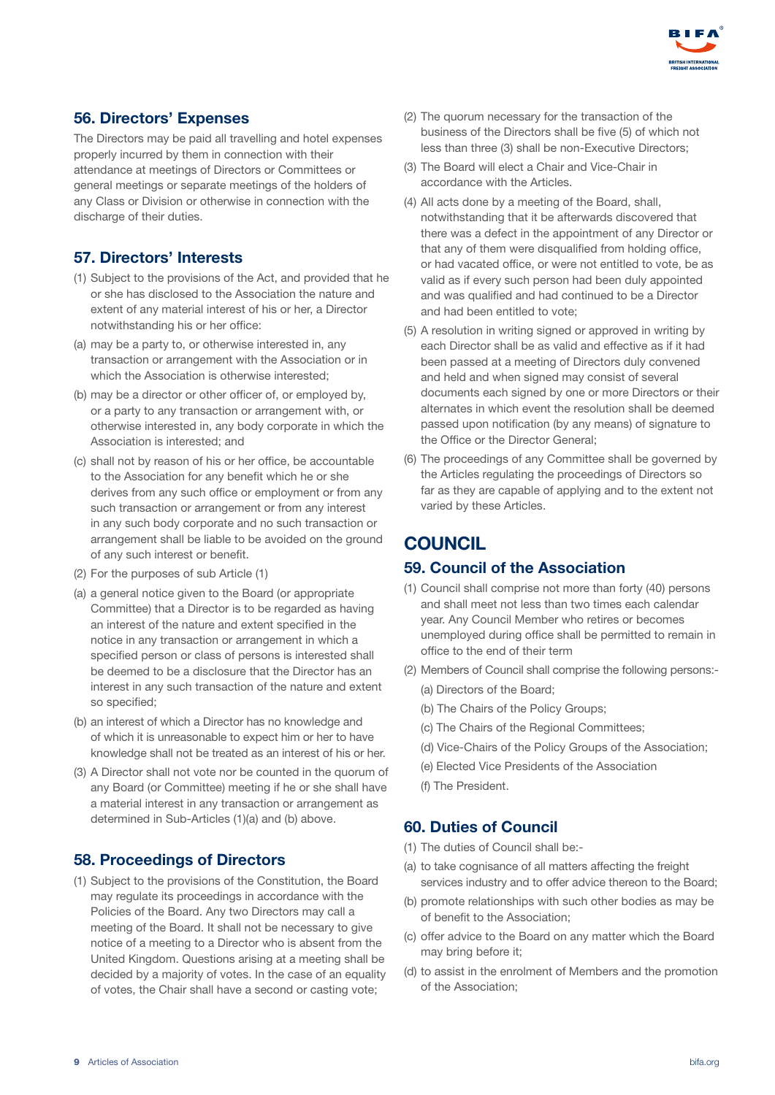

## 56. Directors' Expenses

The Directors may be paid all travelling and hotel expenses properly incurred by them in connection with their attendance at meetings of Directors or Committees or general meetings or separate meetings of the holders of any Class or Division or otherwise in connection with the discharge of their duties.

## 57. Directors' Interests

- (1) Subject to the provisions of the Act, and provided that he or she has disclosed to the Association the nature and extent of any material interest of his or her, a Director notwithstanding his or her office:
- (a) may be a party to, or otherwise interested in, any transaction or arrangement with the Association or in which the Association is otherwise interested;
- (b) may be a director or other officer of, or employed by, or a party to any transaction or arrangement with, or otherwise interested in, any body corporate in which the Association is interested; and
- (c) shall not by reason of his or her office, be accountable to the Association for any benefit which he or she derives from any such office or employment or from any such transaction or arrangement or from any interest in any such body corporate and no such transaction or arrangement shall be liable to be avoided on the ground of any such interest or benefit.
- (2) For the purposes of sub Article (1)
- (a) a general notice given to the Board (or appropriate Committee) that a Director is to be regarded as having an interest of the nature and extent specified in the notice in any transaction or arrangement in which a specified person or class of persons is interested shall be deemed to be a disclosure that the Director has an interest in any such transaction of the nature and extent so specified;
- (b) an interest of which a Director has no knowledge and of which it is unreasonable to expect him or her to have knowledge shall not be treated as an interest of his or her.
- (3) A Director shall not vote nor be counted in the quorum of any Board (or Committee) meeting if he or she shall have a material interest in any transaction or arrangement as determined in Sub-Articles (1)(a) and (b) above.

#### 58. Proceedings of Directors

(1) Subject to the provisions of the Constitution, the Board may regulate its proceedings in accordance with the Policies of the Board. Any two Directors may call a meeting of the Board. It shall not be necessary to give notice of a meeting to a Director who is absent from the United Kingdom. Questions arising at a meeting shall be decided by a majority of votes. In the case of an equality of votes, the Chair shall have a second or casting vote;

- (2) The quorum necessary for the transaction of the business of the Directors shall be five (5) of which not less than three (3) shall be non-Executive Directors;
- (3) The Board will elect a Chair and Vice-Chair in accordance with the Articles.
- (4) All acts done by a meeting of the Board, shall, notwithstanding that it be afterwards discovered that there was a defect in the appointment of any Director or that any of them were disqualified from holding office, or had vacated office, or were not entitled to vote, be as valid as if every such person had been duly appointed and was qualified and had continued to be a Director and had been entitled to vote;
- (5) A resolution in writing signed or approved in writing by each Director shall be as valid and effective as if it had been passed at a meeting of Directors duly convened and held and when signed may consist of several documents each signed by one or more Directors or their alternates in which event the resolution shall be deemed passed upon notification (by any means) of signature to the Office or the Director General;
- (6) The proceedings of any Committee shall be governed by the Articles regulating the proceedings of Directors so far as they are capable of applying and to the extent not varied by these Articles.

# **COUNCIL**

#### 59. Council of the Association

- (1) Council shall comprise not more than forty (40) persons and shall meet not less than two times each calendar year. Any Council Member who retires or becomes unemployed during office shall be permitted to remain in office to the end of their term
- (2) Members of Council shall comprise the following persons:-
	- (a) Directors of the Board;
	- (b) The Chairs of the Policy Groups;
	- (c) The Chairs of the Regional Committees;
	- (d) Vice-Chairs of the Policy Groups of the Association;
	- (e) Elected Vice Presidents of the Association
	- (f) The President.

#### 60. Duties of Council

- (1) The duties of Council shall be:-
- (a) to take cognisance of all matters affecting the freight services industry and to offer advice thereon to the Board;
- (b) promote relationships with such other bodies as may be of benefit to the Association;
- (c) offer advice to the Board on any matter which the Board may bring before it;
- (d) to assist in the enrolment of Members and the promotion of the Association;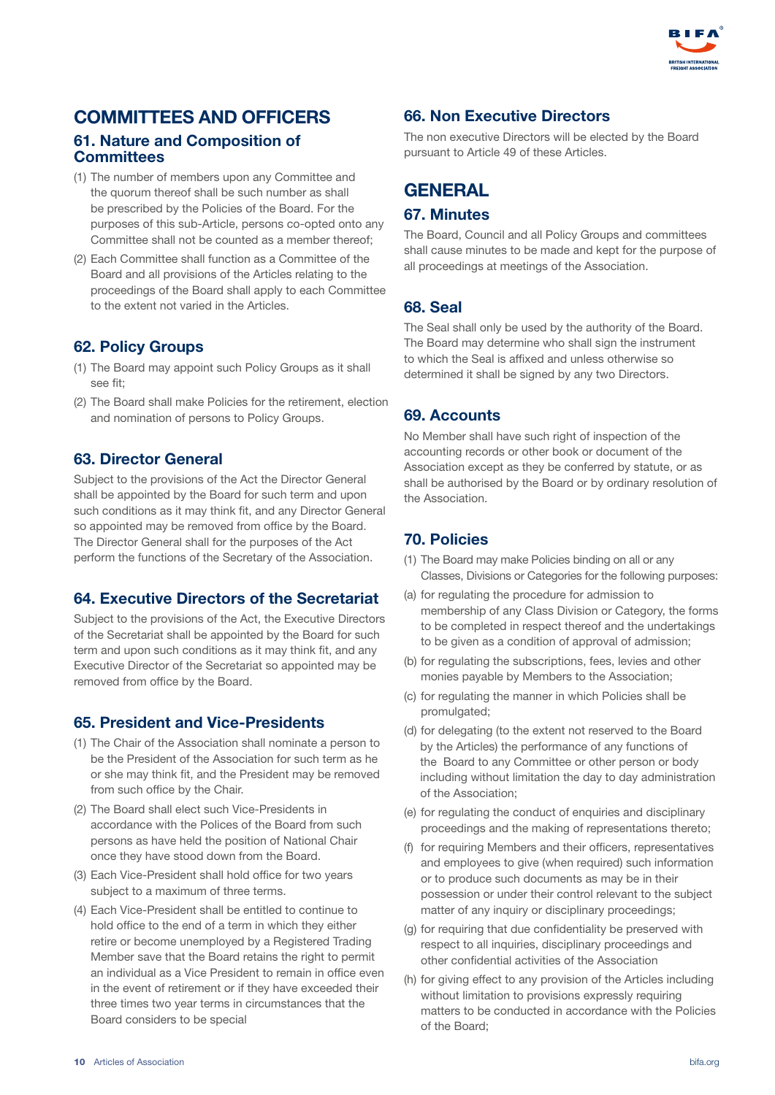

## COMMITTEES AND OFFICERS 61. Nature and Composition of **Committees**

- (1) The number of members upon any Committee and the quorum thereof shall be such number as shall be prescribed by the Policies of the Board. For the purposes of this sub-Article, persons co-opted onto any Committee shall not be counted as a member thereof;
- (2) Each Committee shall function as a Committee of the Board and all provisions of the Articles relating to the proceedings of the Board shall apply to each Committee to the extent not varied in the Articles.

## 62. Policy Groups

- (1) The Board may appoint such Policy Groups as it shall see fit;
- (2) The Board shall make Policies for the retirement, election and nomination of persons to Policy Groups.

#### 63. Director General

Subject to the provisions of the Act the Director General shall be appointed by the Board for such term and upon such conditions as it may think fit, and any Director General so appointed may be removed from office by the Board. The Director General shall for the purposes of the Act perform the functions of the Secretary of the Association.

#### 64. Executive Directors of the Secretariat

Subject to the provisions of the Act, the Executive Directors of the Secretariat shall be appointed by the Board for such term and upon such conditions as it may think fit, and any Executive Director of the Secretariat so appointed may be removed from office by the Board.

#### 65. President and Vice-Presidents

- (1) The Chair of the Association shall nominate a person to be the President of the Association for such term as he or she may think fit, and the President may be removed from such office by the Chair.
- (2) The Board shall elect such Vice-Presidents in accordance with the Polices of the Board from such persons as have held the position of National Chair once they have stood down from the Board.
- (3) Each Vice-President shall hold office for two years subject to a maximum of three terms.
- (4) Each Vice-President shall be entitled to continue to hold office to the end of a term in which they either retire or become unemployed by a Registered Trading Member save that the Board retains the right to permit an individual as a Vice President to remain in office even in the event of retirement or if they have exceeded their three times two year terms in circumstances that the Board considers to be special

#### 66. Non Executive Directors

The non executive Directors will be elected by the Board pursuant to Article 49 of these Articles.

# **GENERAL**

#### 67. Minutes

The Board, Council and all Policy Groups and committees shall cause minutes to be made and kept for the purpose of all proceedings at meetings of the Association.

#### 68. Seal

The Seal shall only be used by the authority of the Board. The Board may determine who shall sign the instrument to which the Seal is affixed and unless otherwise so determined it shall be signed by any two Directors.

#### 69. Accounts

No Member shall have such right of inspection of the accounting records or other book or document of the Association except as they be conferred by statute, or as shall be authorised by the Board or by ordinary resolution of the Association.

## 70. Policies

- (1) The Board may make Policies binding on all or any Classes, Divisions or Categories for the following purposes:
- (a) for regulating the procedure for admission to membership of any Class Division or Category, the forms to be completed in respect thereof and the undertakings to be given as a condition of approval of admission;
- (b) for regulating the subscriptions, fees, levies and other monies payable by Members to the Association;
- (c) for regulating the manner in which Policies shall be promulgated;
- (d) for delegating (to the extent not reserved to the Board by the Articles) the performance of any functions of the Board to any Committee or other person or body including without limitation the day to day administration of the Association;
- (e) for regulating the conduct of enquiries and disciplinary proceedings and the making of representations thereto;
- (f) for requiring Members and their officers, representatives and employees to give (when required) such information or to produce such documents as may be in their possession or under their control relevant to the subject matter of any inquiry or disciplinary proceedings;
- (g) for requiring that due confidentiality be preserved with respect to all inquiries, disciplinary proceedings and other confidential activities of the Association
- (h) for giving effect to any provision of the Articles including without limitation to provisions expressly requiring matters to be conducted in accordance with the Policies of the Board;